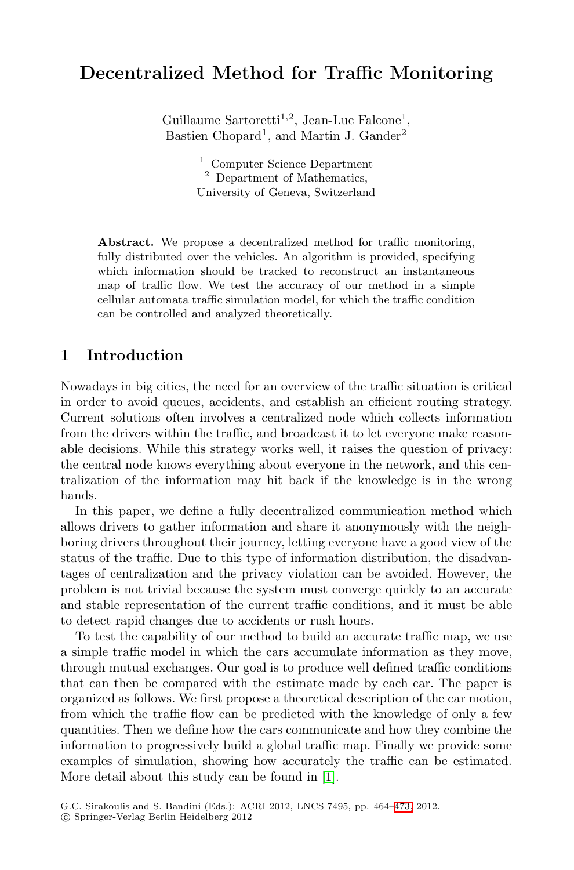# **Decentralized Method for Traffic Monitoring**

Guillaume Sartoretti<sup>1,2</sup>, Jean-Luc Falcone<sup>1</sup>, Bastien Chopard<sup>1</sup>, and Martin J. Gander<sup>2</sup>

> <sup>1</sup> Computer Science Department <sup>2</sup> Department of Mathematics, University of Geneva, Switzerland

**Abstract.** We propose a decentralized method for traffic monitoring, fully distributed over the vehicles. An algorithm is provided, specifying which information should be tracked to reconstruct an instantaneous map of traffic flow. We test the accuracy of our method in a simple cellular automata traffic simulation model, for which the traffic condition can be controlled and analyzed theoretically.

# **1 Introduction**

Nowadays in big cities, the need for an overview of the traffic situation is critical in order to avoid queues, accidents, and establish an efficient routing strategy. Current solutions often involves a centralized node which collects information from the drivers within the traffic, and broadcast it to let everyone make reasonable decisions. While this strategy works well, it raises the question of privacy: the central node knows everything about everyone in the network, and this centralization of the information may hit back if the knowledge is in the wrong hands.

In this paper, we define a fully decentralized communication method which allows drivers to gather information and share it anonymously with the neighboring drivers throughout their journey, letting everyone have a good view of the status of the traffic. Due to this type of information distribution, the disadvantages of centralization and the privacy violation can be avoided. However, the problem is not trivial because the system must converge quickly to an accurate and stable representation of the current traffic conditions, and it must be able to detect rapid changes due to accidents or rush hours.

To test the capability of our method to build an accurate traffic map, we use a simple traffic model in w[hic](#page-9-0)h the cars accumulate information as they move, through mutual exchanges. Our goal is to produce well defined traffic conditions that can then be compared with the est[ima](#page-9-1)te made by each car. The paper is organized as follows. We first propose a theoretical description of the car motion, from which the traffic flow can be predicted with the knowledge of only a few quantities. Then we define how the cars communicate and how they combine the information to progressively build a global traffic map. Finally we provide some examples of simulation, showing how accurately the traffic can be estimated. More detail about this study can be found in [1].

G.C. Sirakoulis and S. Bandini (Eds.): ACRI 2012, LNCS 7495, pp. 464–473, 2012.

<sup>-</sup>c Springer-Verlag Berlin Heidelberg 2012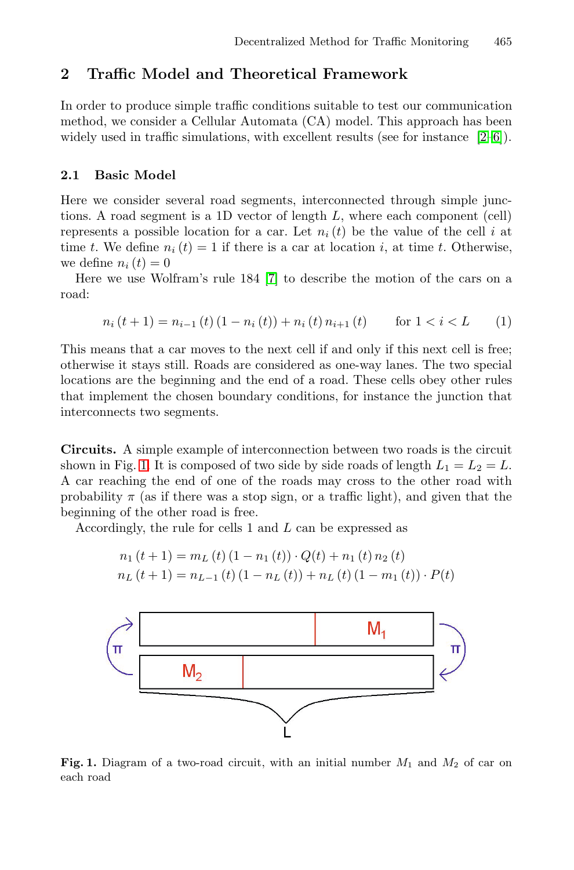# <span id="page-1-1"></span>**2 Traffic Model and Theoretical Framework**

In order to produce simple traffic conditions suitable to test our communication method, we consider a Cellular Automata (CA) model. This approach has been widely used in traffic simulations, with excellent results (see for instance [2–6]).

#### **2.1 Basic Model**

Here we consider several road segments, interconnected through simple junctions. A road segment is a 1D vector of length L, where each component (cell) represents a possible location for a car. Let  $n_i(t)$  be the value of the cell i at time t. We define  $n_i(t) = 1$  if there is a car at location i, at time t. Otherwise, we define  $n_i(t)=0$ 

Here we use Wolfram's rule 184 [7] to describe the motion of the cars on a road:

$$
n_i(t+1) = n_{i-1}(t)(1 - n_i(t)) + n_i(t)n_{i+1}(t) \qquad \text{for } 1 < i < L \qquad (1)
$$

This means that a car moves to the next cell if and only if this next cell is free; otherwise it stays still. Roads are considered as one-way lanes. The two special locations are the beginning and the end of a road. These cells obey other rules that implement the chosen boundary conditions, for instance the junction that interconnects two segments.

**Circuits.** A simple example of interconnection between two roads is the circuit shown in Fig. 1. It is composed of two side by side roads of length  $L_1 = L_2 = L$ . A car reaching the end of one of the roads may cross to the other road with probability  $\pi$  (as if there was a stop sign, or a traffic light), and given that the beginning of the other road is free.

Accordingly, the rule for cells  $1$  and  $L$  can be expressed as

<span id="page-1-0"></span>
$$
n_1(t+1) = m_L(t) (1 - n_1(t)) \cdot Q(t) + n_1(t) n_2(t)
$$
  
\n
$$
n_L(t+1) = n_{L-1}(t) (1 - n_L(t)) + n_L(t) (1 - m_1(t)) \cdot P(t)
$$



Fig. 1. Diagram of a two-road circuit, with an initial number  $M_1$  and  $M_2$  of car on each road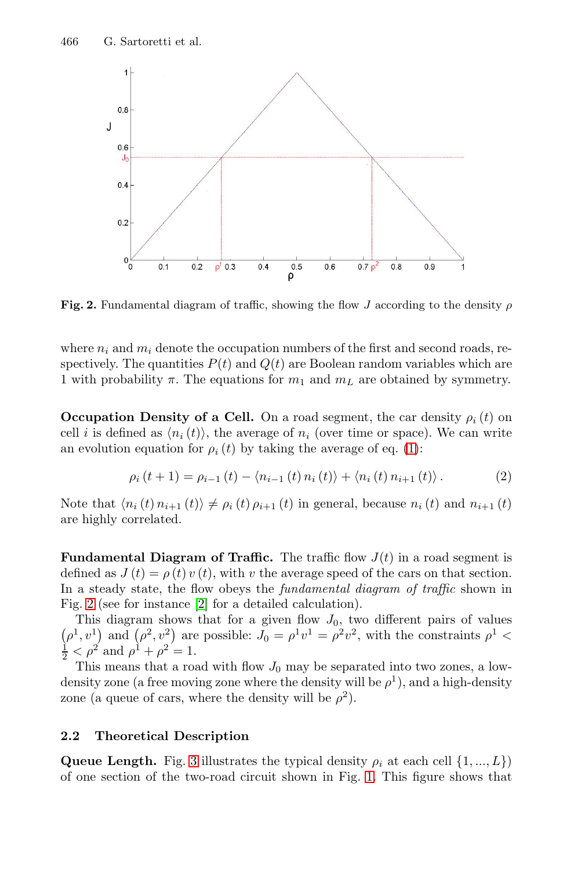

<span id="page-2-0"></span>

**Fig. 2.** Fundamental diagram of traffic, showing the flow J according to the density  $\rho$ 

where  $n_i$  and  $m_i$  denote the occupation numbers of the first and second roads, respectively. The quantities  $P(t)$  and  $Q(t)$  are Boolean random variables which are 1 with probability  $\pi$ . The equations for  $m_1$  and  $m_L$  are obtained by symmetry.

**Occupation Density of a Cell.** On a road segment, the car density  $\rho_i(t)$  on cell *i* is defined as  $\langle n_i(t) \rangle$ , the average of  $n_i$  (over time or space). We can write an evolution equation for  $\rho_i(t)$  by taking the average of eq. (1):

$$
\rho_i(t+1) = \rho_{i-1}(t) - \langle n_{i-1}(t) n_i(t) \rangle + \langle n_i(t) n_{i+1}(t) \rangle.
$$
 (2)

Note that  $\langle n_i(t) n_{i+1}(t) \rangle \neq \rho_i(t) \rho_{i+1}(t)$  in general, because  $n_i(t)$  and  $n_{i+1}(t)$ are highly correlated.

**Fundamental Diagram of Traffic.** The traffic flow  $J(t)$  in a road segment is defined as  $J(t) = \rho(t) v(t)$ , with v the average speed of the cars on that section. In a steady state, the flow obeys the *fundamental diagram of traffic* shown in Fig. 2 (see for instance [2] for a detailed calculation).

This diagram shows that for a given flow  $J_0$ , two different pairs of values  $(\rho^1, v^1)$  $(\rho^1, v^1)$  $(\rho^1, v^1)$  and  $(\rho^2, v^2)$  are possible:  $J_0 = \rho^1 v^1 = \rho^2 v^2$ , with the constraints  $\rho^1 < \frac{1}{2} < \rho^2$  and  $\rho^1 + \rho^2 = 1$ .

This means that a road with flow  $J_0$  $J_0$  may be separated into two zones, a lowdensity zone (a free moving zone where the density will be  $\rho^1$ ), and a high-density zone (a queue of cars, where the density will be  $\rho^2$ ).

#### **2.2 Theoretical Description**

**Queue Length.** Fig. 3 illustrates the typical density  $\rho_i$  at each cell  $\{1, ..., L\}$ of one section of the two-road circuit shown in Fig. 1. This figure shows that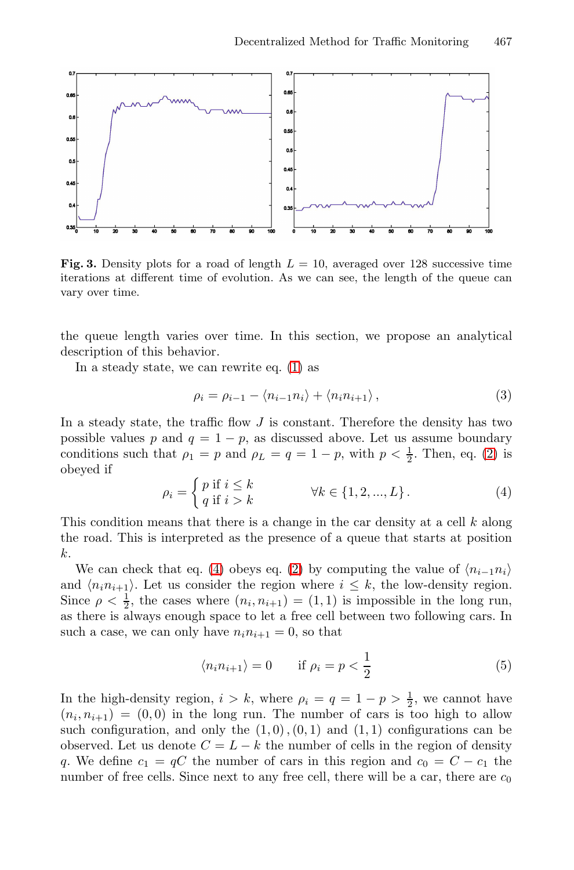<span id="page-3-0"></span>

<span id="page-3-1"></span>**Fig. 3.** Density plots for a road of length  $L = 10$ , averaged over 128 successive time iterations at different time of evolution. As we can see, the length of the queue can vary over time.

the queue length varies over time. In this section, we [p](#page-2-0)ropose an analytical description of this behavior.

In a steady state, we can rewrite eq. (1) as

<span id="page-3-2"></span>
$$
\rho_i = \rho_{i-1} - \langle n_{i-1} n_i \rangle + \langle n_i n_{i+1} \rangle, \tag{3}
$$

In a steady state, the traffic flow  $J$  is constant. Therefore the density has two possible values p and  $q = 1 - p$ , as discussed above. Let us assume boundary conditio[ns](#page-3-1) such that  $\rho_1 = p$  $\rho_1 = p$  $\rho_1 = p$  and  $\rho_L = q = 1 - p$ , with  $p < \frac{1}{2}$ . Then, eq. (2) is obeyed if

$$
\rho_i = \begin{cases} p \text{ if } i \le k \\ q \text{ if } i > k \end{cases} \qquad \forall k \in \{1, 2, ..., L\}.
$$
 (4)

This condition means that there is a change in the car density at a cell k along the road. This is interpreted as the presence of a queue that starts at position k.

We can check that eq. (4) obeys eq. (2) by computing the value of  $\langle n_{i-1}n_i \rangle$ and  $\langle n_i n_{i+1} \rangle$ . Let us consider the region where  $i \leq k$ , the low-density region. Since  $\rho < \frac{1}{2}$ , the cases where  $(n_i, n_{i+1}) = (1, 1)$  is impossible in the long run, as there is always enough space to let a free cell between two following cars. In such a case, we can only have  $n_i n_{i+1} = 0$ , so that

$$
\langle n_i n_{i+1} \rangle = 0 \quad \text{if } \rho_i = p < \frac{1}{2} \tag{5}
$$

In the high-density region,  $i>k$ , where  $\rho_i = q = 1 - p > \frac{1}{2}$ , we cannot have  $(n_i, n_{i+1}) = (0, 0)$  in the long run. The number of cars is too high to allow such configuration, and only the  $(1, 0)$ ,  $(0, 1)$  and  $(1, 1)$  configurations can be observed. Let us denote  $C = L - k$  the number of cells in the region of density q. We define  $c_1 = qC$  the number of cars in this region and  $c_0 = C - c_1$  the number of free cells. Since next to any free cell, there will be a car, there are  $c_0$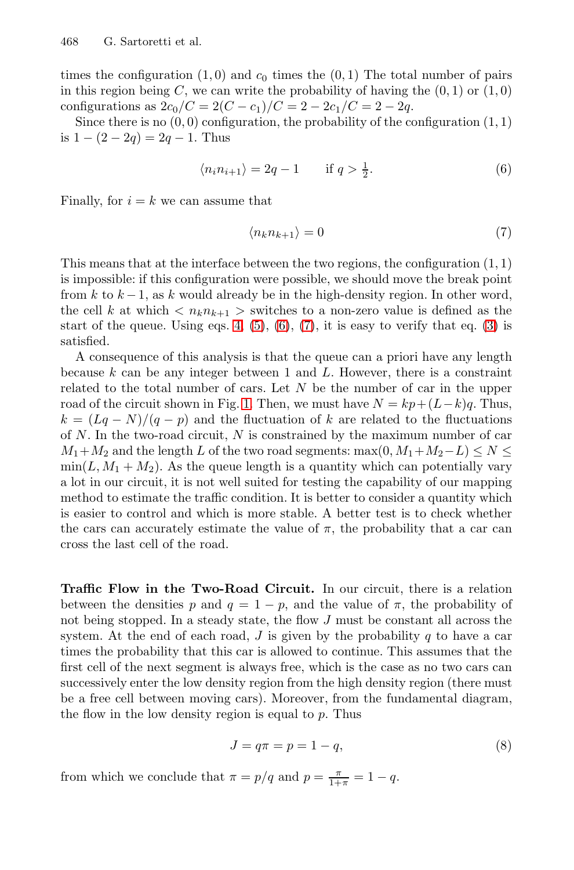<span id="page-4-0"></span>468 G. Sartoretti et al.

times the configuration  $(1, 0)$  and  $c_0$  times the  $(0, 1)$  The total number of pairs in this region being C, we can write the probability of having the  $(0, 1)$  or  $(1, 0)$ configurations as  $2c_0/C = 2(C - c_1)/C = 2 - 2c_1/C = 2 - 2q$ .

Since there is no  $(0, 0)$  configuration, the probability of the configuration  $(1, 1)$ is  $1 - (2 - 2q) = 2q - 1$ . Thus

<span id="page-4-1"></span>
$$
\langle n_i n_{i+1} \rangle = 2q - 1 \qquad \text{if } q > \frac{1}{2}.\tag{6}
$$

Finally, for  $i = k$  $i = k$  $i = k$  $i = k$  we [c](#page-4-0)an [as](#page-4-1)sume that

$$
\langle n_k n_{k+1} \rangle = 0 \tag{7}
$$

This means that at the interface between the two regions, the configuration  $(1, 1)$ is impossible: [if](#page-1-0) this configuration were possible, we should move the break point from k to  $k-1$ , as k would already be in the high-density region. In other word, the cell k at which  $\langle n_k n_{k+1} \rangle$  switches to a non-zero value is defined as the start of the queue. Using eqs. 4,  $(5)$ ,  $(6)$ ,  $(7)$ , it is easy to verify that eq.  $(3)$  is satisfied.

A consequence of this analysis is that the queue can a priori have any length because  $k$  can be any integer between 1 and  $L$ . However, there is a constraint related to the total number of cars. Let  $N$  be the number of car in the upper road of the circuit shown in Fig. 1. Then, we must have  $N = kp + (L-k)q$ . Thus,  $k = (Lq - N)/(q - p)$  and the fluctuation of k are related to the fluctuations of  $N$ . In the two-road circuit,  $N$  is constrained by the maximum number of car  $M_1+M_2$  and the length L of the two road segments: max $(0, M_1+M_2-L) \leq N \leq$  $min(L, M_1 + M_2)$ . As the queue length is a quantity which can potentially vary a lot in our circuit, it is not well suited for testing the capability of our mapping method to estimate the traffic condition. It is better to consider a quantity which is easier to control and which is more stable. A better test is to check whether the cars can accurately estimate the value of  $\pi$ , the probability that a car can cross the last cell of the road.

**Traffic Flow in the Two-Road Circuit.** In our circuit, there is a relation between the densities p and  $q = 1 - p$ , and the value of  $\pi$ , the probability of not being stopped. In a steady state, the flow J must be constant all across the system. At the end of each road,  $J$  is given by the probability  $q$  to have a car times the probability that this car is allowed to continue. This assumes that the first cell of the next segment is always free, which is the case as no two cars can successively enter the low density region from the high density region (there must be a free cell between moving cars). Moreover, from the fundamental diagram, the flow in the low density region is equal to  $p$ . Thus

$$
J = q\pi = p = 1 - q,\tag{8}
$$

from which we conclude that  $\pi = p/q$  and  $p = \frac{\pi}{1+\pi} = 1 - q$ .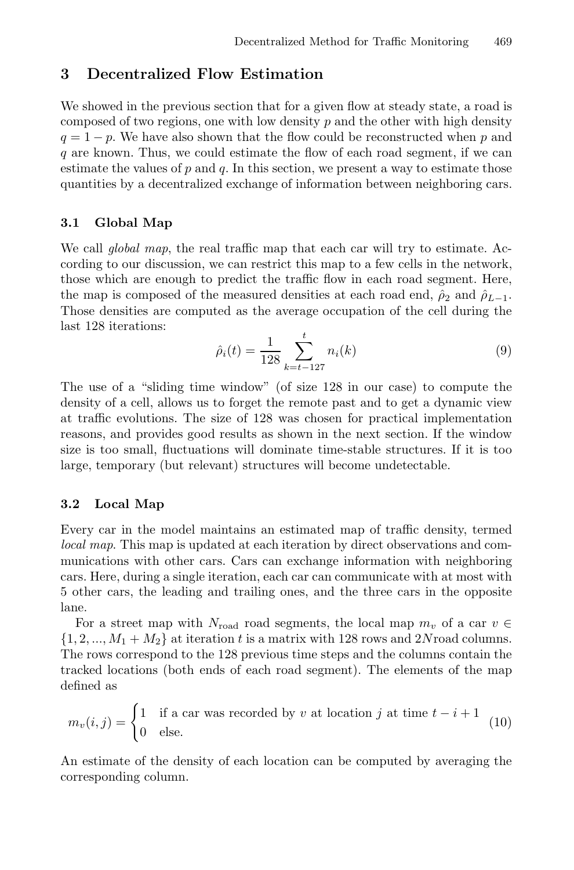# **3 Decentralized Flow Estimation**

We showed in the previous section that for a given flow at steady state, a road is composed of two regions, one with low density  $p$  and the other with high density  $q = 1 - p$ . We have also shown that the flow could be reconstructed when p and q are known. Thus, we could estimate the flow of each road segment, if we can estimate the values of  $p$  and  $q$ . In this section, we present a way to estimate those quantities by a decentralized exchange of information between neighboring cars.

#### **3.1 Global Map**

We call *global map*, the real traffic map that each car will try to estimate. According to our discussion, we can restrict this map to a few cells in the network, those which are enough to predict the traffic flow in each road segment. Here, the map is composed of the measured densities at each road end,  $\hat{\rho}_2$  and  $\hat{\rho}_{L-1}$ . Those densities are computed as the average occupation of the cell during the last 128 iterations:

$$
\hat{\rho}_i(t) = \frac{1}{128} \sum_{k=t-127}^t n_i(k) \tag{9}
$$

The use of a "sliding time window" (of size 128 in our case) to compute the density of a cell, allows us to forget the remote past and to get a dynamic view at traffic evolutions. The size of 128 was chosen for practical implementation reasons, and provides good results as shown in the next section. If the window size is too small, fluctuations will dominate time-stable structures. If it is too large, temporary (but relevant) structures will become undetectable.

#### **3.2 Local Map**

Every car in the model maintains an estimated map of traffic density, termed *local map*. This map is updated at each iteration by direct observations and communications with other cars. Cars can exchange information with neighboring cars. Here, during a single iteration, each car can communicate with at most with 5 other cars, the leading and trailing ones, and the three cars in the opposite lane.

For a street map with  $N_{\text{road}}$  road segments, the local map  $m_v$  of a car  $v \in$  $\{1, 2, ..., M_1 + M_2\}$  at iteration t is a matrix with 128 rows and 2Nroad columns. The rows correspond to the 128 previous time steps and the columns contain the tracked locations (both ends of each road segment). The elements of the map defined as

$$
m_v(i,j) = \begin{cases} 1 & \text{if a car was recorded by } v \text{ at location } j \text{ at time } t - i + 1 \\ 0 & \text{else.} \end{cases}
$$
 (10)

An estimate of the density of each location can be computed by averaging the corresponding column.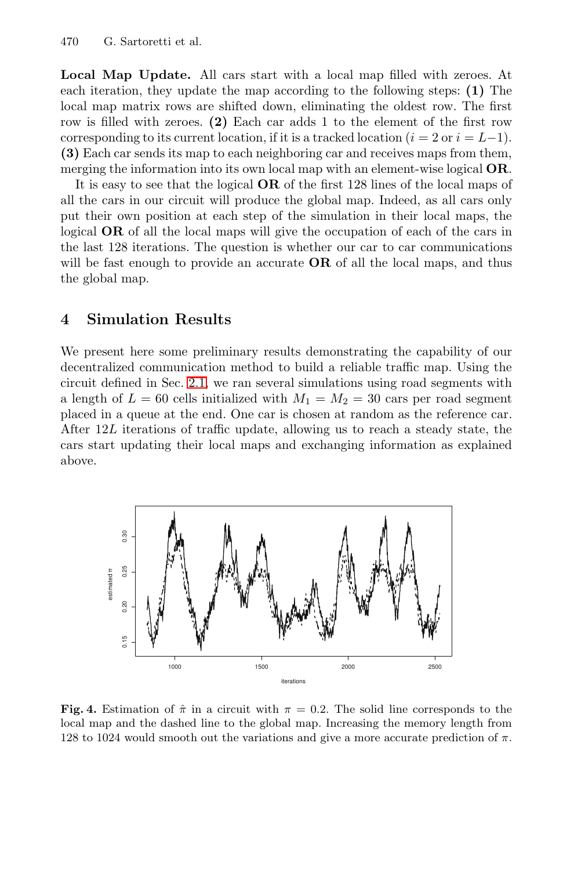470 G. Sartoretti et al.

**Local Map Update.** All cars start with a local map filled with zeroes. At each iteration, they update the map according to the following steps: **(1)** The local map matrix rows are shifted down, eliminating the oldest row. The first row is filled with zeroes. **(2)** Each car adds 1 to the element of the first row corresponding to its current location, if it is a tracked location ( $i = 2$  or  $i = L-1$ ). **(3)** Each car sends its map to each neighboring car and receives maps from them, merging the information into its own local map with an element-wise logical **OR**.

It is easy to see that the logical **OR** of the first 128 lines of the local maps of all the cars in our circuit will produce the global map. Indeed, as all cars only put their own position at each step of the simulation in their local maps, the logical **OR** of all the local maps will give the occupation of each of the cars in the last 128 iterations. The question is whether our car to car communications will [be f](#page-1-1)ast enough to provide an accurate **OR** of all the local maps, and thus the global map.

### **4 Simulation Results**

We present here some preliminary results demonstrating the capability of our decentralized communication method to build a reliable traffic map. Using the circuit defined in Sec. 2.1, we ran several simulations using road segments with a length of  $L = 60$  cells initialized with  $M_1 = M_2 = 30$  cars per road segment placed in a queue at the end. One car is chosen at random as the reference car. After 12L iterations of traffic update, allowing us to reach a steady state, the cars start updating their local maps and exchanging information as explained above.



**Fig. 4.** Estimation of  $\hat{\pi}$  in a circuit with  $\pi = 0.2$ . The solid line corresponds to the local map and the dashed line to the global map. Increasing the memory length from 128 to 1024 would smooth out the variations and give a more accurate prediction of  $\pi$ .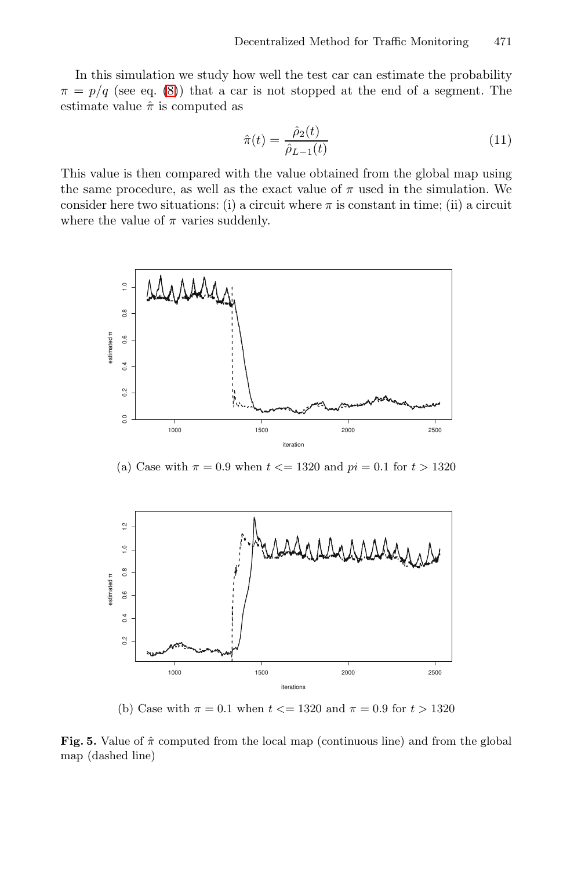In this simulation we study how well the test car can estimate the probability  $\pi = p/q$  (see eq. (8)) that a car is not stopped at the end of a segment. The estimate value  $\hat{\pi}$  is computed as

$$
\hat{\pi}(t) = \frac{\hat{\rho}_2(t)}{\hat{\rho}_{L-1}(t)}\tag{11}
$$

This value is then compared with the value obtained from the global map using the same procedure, as well as the exact value of  $\pi$  used in the simulation. We consider here two situations: (i) a circuit where  $\pi$  is constant in time; (ii) a circuit where the value of  $\pi$  varies suddenly.



<span id="page-7-0"></span>(a) Case with  $\pi = 0.9$  when  $t \le 1320$  and  $pi = 0.1$  for  $t > 1320$ 



(b) Case with  $\pi = 0.1$  when  $t \le 1320$  and  $\pi = 0.9$  for  $t > 1320$ 

Fig. 5. Value of  $\hat{\pi}$  computed from the local map (continuous line) and from the global map (dashed line)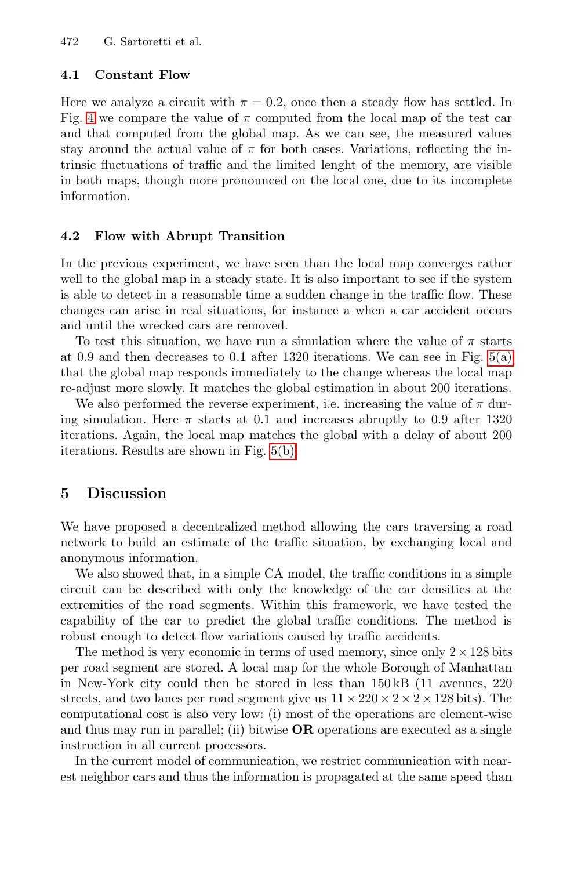472 G. Sartoretti et al.

#### **4.1 Constant Flow**

Here we analyze a circuit with  $\pi = 0.2$ , once then a steady flow has settled. In Fig. 4 we compare the value of  $\pi$  computed from the local map of the test car and that computed from the global map. As we can see, the measured values stay around the actual value of  $\pi$  for both cases. Variations, reflecting the intrinsic fluctuations of traffic and the limited lenght of the memory, are visible in both maps, though more pronounced on the local one, due to its incomplete information.

### **4.2 Flow with Abrupt Transition**

In the previous experiment, we have seen than the local map converges rather well to the global map in a steady state. It is also important to see if the system is able to detect in a reasonable time a sudden change in the traffic flow. These changes can arise in real situations, for instance a when a car accident occurs and until the wrec[ked ca](#page-7-0)rs are removed.

To test this situation, we have run a simulation where the value of  $\pi$  starts at 0.9 and then decreases to 0.1 after 1320 iterations. We can see in Fig. 5(a) that the global map responds immediately to the change whereas the local map re-adjust more slowly. It matches the global estimation in about 200 iterations.

We also performed the reverse experiment, i.e. increasing the value of  $\pi$  during simulation. Here  $\pi$  starts at 0.1 and increases abruptly to 0.9 after 1320 iterations. Again, the local map matches the global with a delay of about 200 iterations. Results are shown in Fig. 5(b).

### **5 Discussion**

We have proposed a decentralized method allowing the cars traversing a road network to build an estimate of the traffic situation, by exchanging local and anonymous information.

We also showed that, in a simple CA model, the traffic conditions in a simple circuit can be described with only the knowledge of the car densities at the extremities of the road segments. Within this framework, we have tested the capability of the car to predict the global traffic conditions. The method is robust enough to detect flow variations caused by traffic accidents.

The method is very economic in terms of used memory, since only  $2 \times 128$  bits per road segment are stored. A local map for the whole Borough of Manhattan in New-York city could then be stored in less than 150 kB (11 avenues, 220 streets, and two lanes per road segment give us  $11 \times 220 \times 2 \times 2 \times 128$  bits). The computational cost is also very low: (i) most of the operations are element-wise and thus may run in parallel; (ii) bitwise **OR** operations are executed as a single instruction in all current processors.

In the current model of communication, we restrict communication with nearest neighbor cars and thus the information is propagated at the same speed than